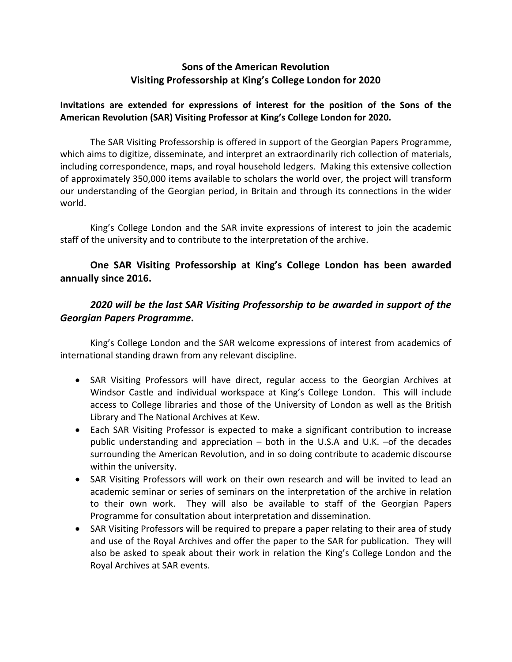## **Sons of the American Revolution Visiting Professorship at King's College London for 2020**

## **Invitations are extended for expressions of interest for the position of the Sons of the American Revolution (SAR) Visiting Professor at King's College London for 2020.**

The SAR Visiting Professorship is offered in support of the Georgian Papers Programme, which aims to digitize, disseminate, and interpret an extraordinarily rich collection of materials, including correspondence, maps, and royal household ledgers. Making this extensive collection of approximately 350,000 items available to scholars the world over, the project will transform our understanding of the Georgian period, in Britain and through its connections in the wider world.

King's College London and the SAR invite expressions of interest to join the academic staff of the university and to contribute to the interpretation of the archive.

## **One SAR Visiting Professorship at King's College London has been awarded annually since 2016.**

## *2020 will be the last SAR Visiting Professorship to be awarded in support of the Georgian Papers Programme***.**

King's College London and the SAR welcome expressions of interest from academics of international standing drawn from any relevant discipline.

- SAR Visiting Professors will have direct, regular access to the Georgian Archives at Windsor Castle and individual workspace at King's College London. This will include access to College libraries and those of the University of London as well as the British Library and The National Archives at Kew.
- Each SAR Visiting Professor is expected to make a significant contribution to increase public understanding and appreciation – both in the U.S.A and U.K. –of the decades surrounding the American Revolution, and in so doing contribute to academic discourse within the university.
- SAR Visiting Professors will work on their own research and will be invited to lead an academic seminar or series of seminars on the interpretation of the archive in relation to their own work. They will also be available to staff of the Georgian Papers Programme for consultation about interpretation and dissemination.
- SAR Visiting Professors will be required to prepare a paper relating to their area of study and use of the Royal Archives and offer the paper to the SAR for publication. They will also be asked to speak about their work in relation the King's College London and the Royal Archives at SAR events.